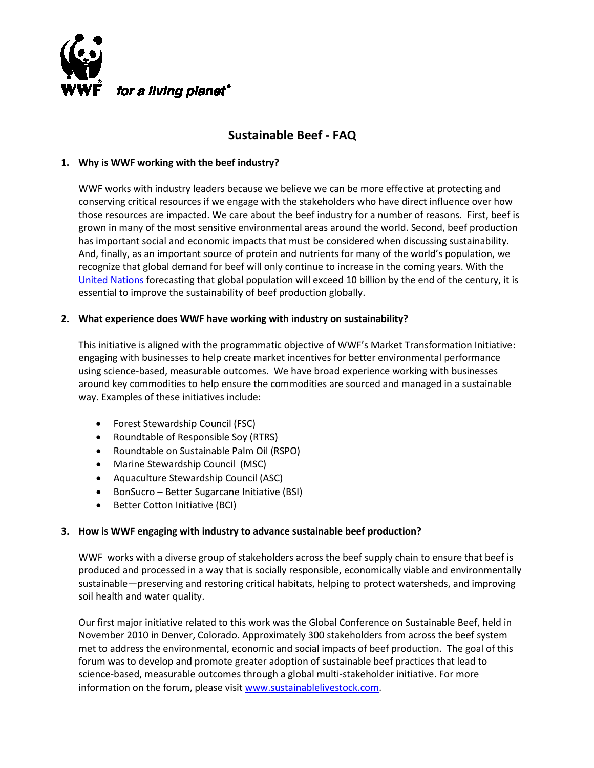

# **Sustainable Beef - FAQ**

# **1. Why is WWF working with the beef industry?**

WWF works with industry leaders because we believe we can be more effective at protecting and conserving critical resources if we engage with the stakeholders who have direct influence over how those resources are impacted. We care about the beef industry for a number of reasons. First, beef is grown in many of the most sensitive environmental areas around the world. Second, beef production has important social and economic impacts that must be considered when discussing sustainability. And, finally, as an important source of protein and nutrients for many of the world's population, we recognize that global demand for beef will only continue to increase in the coming years. With the [United Nations](http://www.un.org/News/briefings/docs/2011/110503_Population.doc.htm) forecasting that global population will exceed 10 billion by the end of the century, it is essential to improve the sustainability of beef production globally.

#### **2. What experience does WWF have working with industry on sustainability?**

This initiative is aligned with the programmatic objective of WWF's Market Transformation Initiative: engaging with businesses to help create market incentives for better environmental performance using science-based, measurable outcomes. We have broad experience working with businesses around key commodities to help ensure the commodities are sourced and managed in a sustainable way. Examples of these initiatives include:

- Forest Stewardship Council (FSC)
- Roundtable of Responsible Soy (RTRS)
- Roundtable on Sustainable Palm Oil (RSPO)
- Marine Stewardship Council (MSC)
- Aquaculture Stewardship Council (ASC)
- BonSucro Better Sugarcane Initiative (BSI)
- Better Cotton Initiative (BCI)

# **3. How is WWF engaging with industry to advance sustainable beef production?**

WWF works with a diverse group of stakeholders across the beef supply chain to ensure that beef is produced and processed in a way that is socially responsible, economically viable and environmentally sustainable—preserving and restoring critical habitats, helping to protect watersheds, and improving soil health and water quality.

Our first major initiative related to this work was the Global Conference on Sustainable Beef, held in November 2010 in Denver, Colorado. Approximately 300 stakeholders from across the beef system met to address the environmental, economic and social impacts of beef production. The goal of this forum was to develop and promote greater adoption of sustainable beef practices that lead to science-based, measurable outcomes through a global multi-stakeholder initiative. For more information on the forum, please visit [www.sustainablelivestock.com.](http://www.sustainablelivestock.com/)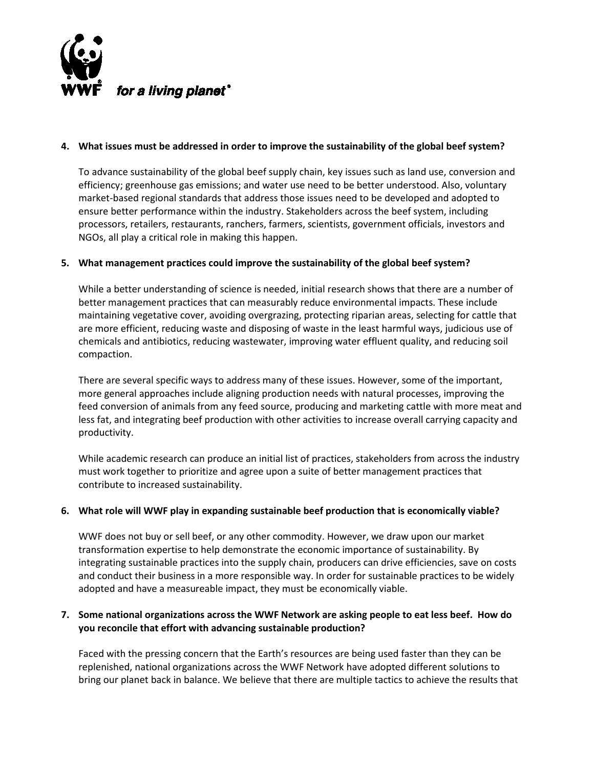

#### **4. What issues must be addressed in order to improve the sustainability of the global beef system?**

To advance sustainability of the global beef supply chain, key issues such as land use, conversion and efficiency; greenhouse gas emissions; and water use need to be better understood. Also, voluntary market-based regional standards that address those issues need to be developed and adopted to ensure better performance within the industry. Stakeholders across the beef system, including processors, retailers, restaurants, ranchers, farmers, scientists, government officials, investors and NGOs, all play a critical role in making this happen.

# **5. What management practices could improve the sustainability of the global beef system?**

While a better understanding of science is needed, initial research shows that there are a number of better management practices that can measurably reduce environmental impacts. These include maintaining vegetative cover, avoiding overgrazing, protecting riparian areas, selecting for cattle that are more efficient, reducing waste and disposing of waste in the least harmful ways, judicious use of chemicals and antibiotics, reducing wastewater, improving water effluent quality, and reducing soil compaction.

There are several specific ways to address many of these issues. However, some of the important, more general approaches include aligning production needs with natural processes, improving the feed conversion of animals from any feed source, producing and marketing cattle with more meat and less fat, and integrating beef production with other activities to increase overall carrying capacity and productivity.

While academic research can produce an initial list of practices, stakeholders from across the industry must work together to prioritize and agree upon a suite of better management practices that contribute to increased sustainability.

#### **6. What role will WWF play in expanding sustainable beef production that is economically viable?**

WWF does not buy or sell beef, or any other commodity. However, we draw upon our market transformation expertise to help demonstrate the economic importance of sustainability. By integrating sustainable practices into the supply chain, producers can drive efficiencies, save on costs and conduct their business in a more responsible way. In order for sustainable practices to be widely adopted and have a measureable impact, they must be economically viable.

# **7. Some national organizations across the WWF Network are asking people to eat less beef. How do you reconcile that effort with advancing sustainable production?**

Faced with the pressing concern that the Earth's resources are being used faster than they can be replenished, national organizations across the WWF Network have adopted different solutions to bring our planet back in balance. We believe that there are multiple tactics to achieve the results that